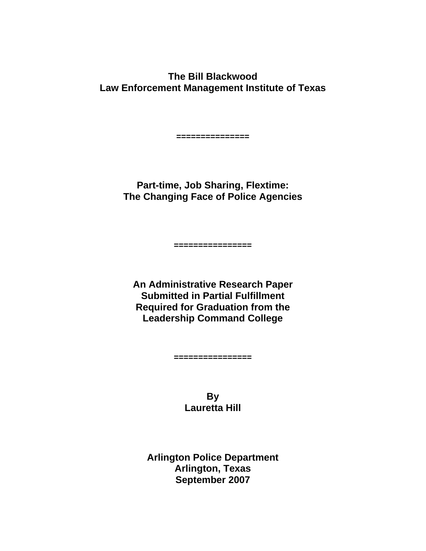**The Bill Blackwood Law Enforcement Management Institute of Texas** 

> **Part-time, Job Sharing, Flextime: The Changing Face of Police Agencies**

**===============** 

**An Administrative Research Paper Submitted in Partial Fulfillment Required for Graduation from the Leadership Command College**

**================** 

**================**

**By Lauretta Hill**

**Arlington Police Department Arlington, Texas September 2007**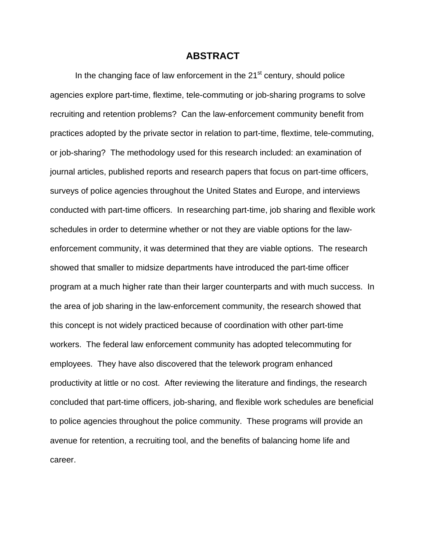#### **ABSTRACT**

In the changing face of law enforcement in the  $21<sup>st</sup>$  century, should police agencies explore part-time, flextime, tele-commuting or job-sharing programs to solve recruiting and retention problems? Can the law-enforcement community benefit from practices adopted by the private sector in relation to part-time, flextime, tele-commuting, or job-sharing? The methodology used for this research included: an examination of journal articles, published reports and research papers that focus on part-time officers, surveys of police agencies throughout the United States and Europe, and interviews conducted with part-time officers. In researching part-time, job sharing and flexible work schedules in order to determine whether or not they are viable options for the lawenforcement community, it was determined that they are viable options. The research showed that smaller to midsize departments have introduced the part-time officer program at a much higher rate than their larger counterparts and with much success. In the area of job sharing in the law-enforcement community, the research showed that this concept is not widely practiced because of coordination with other part-time workers. The federal law enforcement community has adopted telecommuting for employees. They have also discovered that the telework program enhanced productivity at little or no cost. After reviewing the literature and findings, the research concluded that part-time officers, job-sharing, and flexible work schedules are beneficial to police agencies throughout the police community. These programs will provide an avenue for retention, a recruiting tool, and the benefits of balancing home life and career.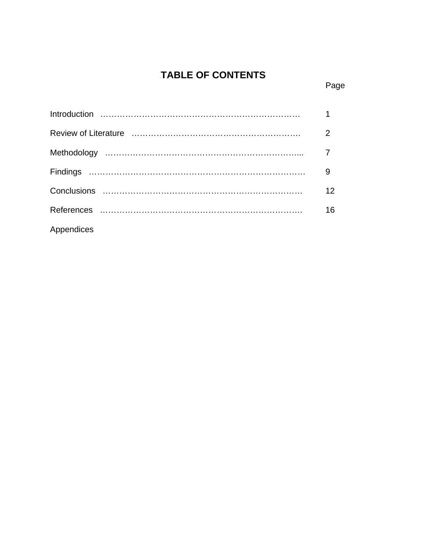# 0B**TABLE OF CONTENTS**

## **Page Page Page**

|            | $\overline{1}$  |
|------------|-----------------|
|            | 2               |
|            |                 |
|            |                 |
|            | 12 <sup>2</sup> |
|            | 16              |
| Appendices |                 |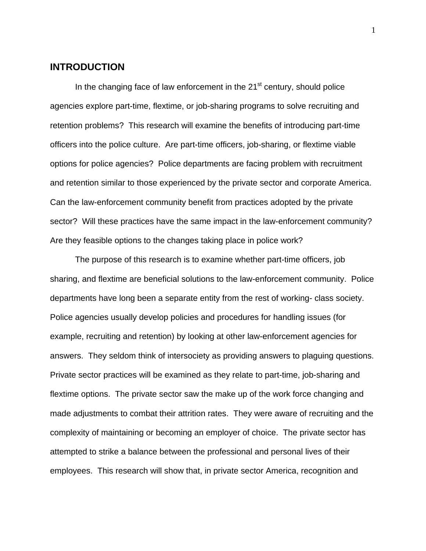# **INTRODUCTION**

In the changing face of law enforcement in the  $21<sup>st</sup>$  century, should police agencies explore part-time, flextime, or job-sharing programs to solve recruiting and retention problems? This research will examine the benefits of introducing part-time officers into the police culture. Are part-time officers, job-sharing, or flextime viable options for police agencies? Police departments are facing problem with recruitment and retention similar to those experienced by the private sector and corporate America. Can the law-enforcement community benefit from practices adopted by the private sector? Will these practices have the same impact in the law-enforcement community? Are they feasible options to the changes taking place in police work?

 The purpose of this research is to examine whether part-time officers, job sharing, and flextime are beneficial solutions to the law-enforcement community. Police departments have long been a separate entity from the rest of working- class society. Police agencies usually develop policies and procedures for handling issues (for example, recruiting and retention) by looking at other law-enforcement agencies for answers. They seldom think of intersociety as providing answers to plaguing questions. Private sector practices will be examined as they relate to part-time, job-sharing and flextime options. The private sector saw the make up of the work force changing and made adjustments to combat their attrition rates. They were aware of recruiting and the complexity of maintaining or becoming an employer of choice. The private sector has attempted to strike a balance between the professional and personal lives of their employees. This research will show that, in private sector America, recognition and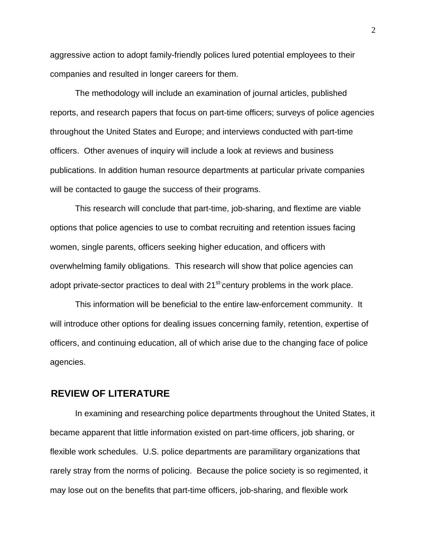aggressive action to adopt family-friendly polices lured potential employees to their companies and resulted in longer careers for them.

 The methodology will include an examination of journal articles, published reports, and research papers that focus on part-time officers; surveys of police agencies throughout the United States and Europe; and interviews conducted with part-time officers. Other avenues of inquiry will include a look at reviews and business publications. In addition human resource departments at particular private companies will be contacted to gauge the success of their programs.

 This research will conclude that part-time, job-sharing, and flextime are viable options that police agencies to use to combat recruiting and retention issues facing women, single parents, officers seeking higher education, and officers with overwhelming family obligations. This research will show that police agencies can adopt private-sector practices to deal with 21<sup>st-</sup>century problems in the work place.

 This information will be beneficial to the entire law-enforcement community. It will introduce other options for dealing issues concerning family, retention, expertise of officers, and continuing education, all of which arise due to the changing face of police agencies.

## 1B**REVIEW OF LITERATURE**

In examining and researching police departments throughout the United States, it became apparent that little information existed on part-time officers, job sharing, or flexible work schedules. U.S. police departments are paramilitary organizations that rarely stray from the norms of policing. Because the police society is so regimented, it may lose out on the benefits that part-time officers, job-sharing, and flexible work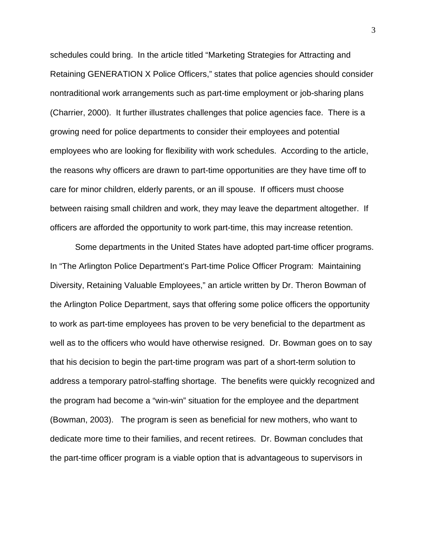schedules could bring. In the article titled "Marketing Strategies for Attracting and Retaining GENERATION X Police Officers," states that police agencies should consider nontraditional work arrangements such as part-time employment or job-sharing plans (Charrier, 2000). It further illustrates challenges that police agencies face. There is a growing need for police departments to consider their employees and potential employees who are looking for flexibility with work schedules. According to the article, the reasons why officers are drawn to part-time opportunities are they have time off to care for minor children, elderly parents, or an ill spouse. If officers must choose between raising small children and work, they may leave the department altogether. If officers are afforded the opportunity to work part-time, this may increase retention.

 Some departments in the United States have adopted part-time officer programs. In "The Arlington Police Department's Part-time Police Officer Program: Maintaining Diversity, Retaining Valuable Employees," an article written by Dr. Theron Bowman of the Arlington Police Department, says that offering some police officers the opportunity to work as part-time employees has proven to be very beneficial to the department as well as to the officers who would have otherwise resigned. Dr. Bowman goes on to say that his decision to begin the part-time program was part of a short-term solution to address a temporary patrol-staffing shortage. The benefits were quickly recognized and the program had become a "win-win" situation for the employee and the department (Bowman, 2003). The program is seen as beneficial for new mothers, who want to dedicate more time to their families, and recent retirees. Dr. Bowman concludes that the part-time officer program is a viable option that is advantageous to supervisors in

3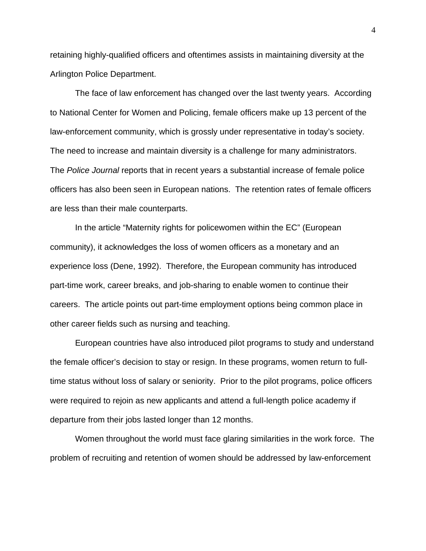retaining highly-qualified officers and oftentimes assists in maintaining diversity at the Arlington Police Department.

 The face of law enforcement has changed over the last twenty years. According to National Center for Women and Policing, female officers make up 13 percent of the law-enforcement community, which is grossly under representative in today's society. The need to increase and maintain diversity is a challenge for many administrators. The *Police Journal* reports that in recent years a substantial increase of female police officers has also been seen in European nations. The retention rates of female officers are less than their male counterparts.

In the article "Maternity rights for policewomen within the EC" (European community), it acknowledges the loss of women officers as a monetary and an experience loss (Dene, 1992). Therefore, the European community has introduced part-time work, career breaks, and job-sharing to enable women to continue their careers. The article points out part-time employment options being common place in other career fields such as nursing and teaching.

European countries have also introduced pilot programs to study and understand the female officer's decision to stay or resign. In these programs, women return to fulltime status without loss of salary or seniority. Prior to the pilot programs, police officers were required to rejoin as new applicants and attend a full-length police academy if departure from their jobs lasted longer than 12 months.

Women throughout the world must face glaring similarities in the work force. The problem of recruiting and retention of women should be addressed by law-enforcement

4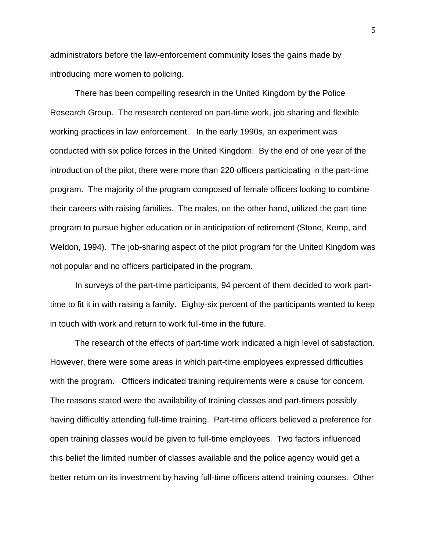administrators before the law-enforcement community loses the gains made by introducing more women to policing.

 There has been compelling research in the United Kingdom by the Police Research Group. The research centered on part-time work, job sharing and flexible working practices in law enforcement. In the early 1990s, an experiment was conducted with six police forces in the United Kingdom. By the end of one year of the introduction of the pilot, there were more than 220 officers participating in the part-time program. The majority of the program composed of female officers looking to combine their careers with raising families. The males, on the other hand, utilized the part-time program to pursue higher education or in anticipation of retirement (Stone, Kemp, and Weldon, 1994). The job-sharing aspect of the pilot program for the United Kingdom was not popular and no officers participated in the program.

In surveys of the part-time participants, 94 percent of them decided to work parttime to fit it in with raising a family. Eighty-six percent of the participants wanted to keep in touch with work and return to work full-time in the future.

The research of the effects of part-time work indicated a high level of satisfaction. However, there were some areas in which part-time employees expressed difficulties with the program. Officers indicated training requirements were a cause for concern. The reasons stated were the availability of training classes and part-timers possibly having difficultly attending full-time training. Part-time officers believed a preference for open training classes would be given to full-time employees. Two factors influenced this belief the limited number of classes available and the police agency would get a better return on its investment by having full-time officers attend training courses. Other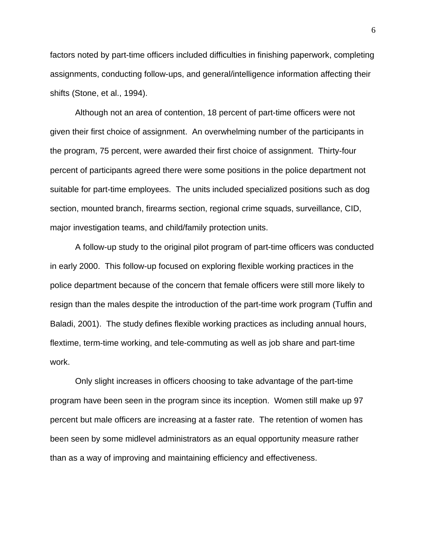factors noted by part-time officers included difficulties in finishing paperwork, completing assignments, conducting follow-ups, and general/intelligence information affecting their shifts (Stone, et al., 1994).

Although not an area of contention, 18 percent of part-time officers were not given their first choice of assignment. An overwhelming number of the participants in the program, 75 percent, were awarded their first choice of assignment. Thirty-four percent of participants agreed there were some positions in the police department not suitable for part-time employees. The units included specialized positions such as dog section, mounted branch, firearms section, regional crime squads, surveillance, CID, major investigation teams, and child/family protection units.

A follow-up study to the original pilot program of part-time officers was conducted in early 2000. This follow-up focused on exploring flexible working practices in the police department because of the concern that female officers were still more likely to resign than the males despite the introduction of the part-time work program (Tuffin and Baladi, 2001). The study defines flexible working practices as including annual hours, flextime, term-time working, and tele-commuting as well as job share and part-time work.

Only slight increases in officers choosing to take advantage of the part-time program have been seen in the program since its inception. Women still make up 97 percent but male officers are increasing at a faster rate. The retention of women has been seen by some midlevel administrators as an equal opportunity measure rather than as a way of improving and maintaining efficiency and effectiveness.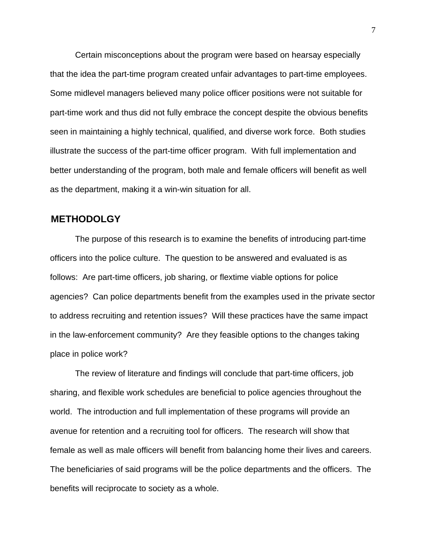Certain misconceptions about the program were based on hearsay especially that the idea the part-time program created unfair advantages to part-time employees. Some midlevel managers believed many police officer positions were not suitable for part-time work and thus did not fully embrace the concept despite the obvious benefits seen in maintaining a highly technical, qualified, and diverse work force. Both studies illustrate the success of the part-time officer program. With full implementation and better understanding of the program, both male and female officers will benefit as well as the department, making it a win-win situation for all.

## 2B**METHODOLGY**

The purpose of this research is to examine the benefits of introducing part-time officers into the police culture. The question to be answered and evaluated is as follows: Are part-time officers, job sharing, or flextime viable options for police agencies? Can police departments benefit from the examples used in the private sector to address recruiting and retention issues? Will these practices have the same impact in the law-enforcement community? Are they feasible options to the changes taking place in police work?

 The review of literature and findings will conclude that part-time officers, job sharing, and flexible work schedules are beneficial to police agencies throughout the world. The introduction and full implementation of these programs will provide an avenue for retention and a recruiting tool for officers. The research will show that female as well as male officers will benefit from balancing home their lives and careers. The beneficiaries of said programs will be the police departments and the officers. The benefits will reciprocate to society as a whole.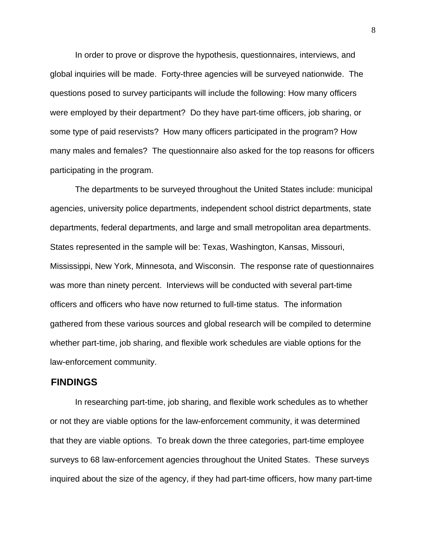In order to prove or disprove the hypothesis, questionnaires, interviews, and global inquiries will be made. Forty-three agencies will be surveyed nationwide. The questions posed to survey participants will include the following: How many officers were employed by their department? Do they have part-time officers, job sharing, or some type of paid reservists? How many officers participated in the program? How many males and females? The questionnaire also asked for the top reasons for officers participating in the program.

The departments to be surveyed throughout the United States include: municipal agencies, university police departments, independent school district departments, state departments, federal departments, and large and small metropolitan area departments. States represented in the sample will be: Texas, Washington, Kansas, Missouri, Mississippi, New York, Minnesota, and Wisconsin. The response rate of questionnaires was more than ninety percent. Interviews will be conducted with several part-time officers and officers who have now returned to full-time status. The information gathered from these various sources and global research will be compiled to determine whether part-time, job sharing, and flexible work schedules are viable options for the law-enforcement community.

#### 3B**FINDINGS**

 In researching part-time, job sharing, and flexible work schedules as to whether or not they are viable options for the law-enforcement community, it was determined that they are viable options. To break down the three categories, part-time employee surveys to 68 law-enforcement agencies throughout the United States. These surveys inquired about the size of the agency, if they had part-time officers, how many part-time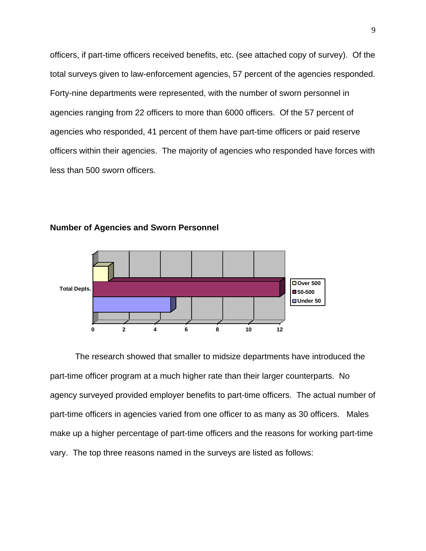officers, if part-time officers received benefits, etc. (see attached copy of survey). Of the total surveys given to law-enforcement agencies, 57 percent of the agencies responded. Forty-nine departments were represented, with the number of sworn personnel in agencies ranging from 22 officers to more than 6000 officers. Of the 57 percent of agencies who responded, 41 percent of them have part-time officers or paid reserve officers within their agencies. The majority of agencies who responded have forces with less than 500 sworn officers.



**Number of Agencies and Sworn Personnel** 

The research showed that smaller to midsize departments have introduced the part-time officer program at a much higher rate than their larger counterparts. No agency surveyed provided employer benefits to part-time officers. The actual number of part-time officers in agencies varied from one officer to as many as 30 officers. Males make up a higher percentage of part-time officers and the reasons for working part-time vary. The top three reasons named in the surveys are listed as follows: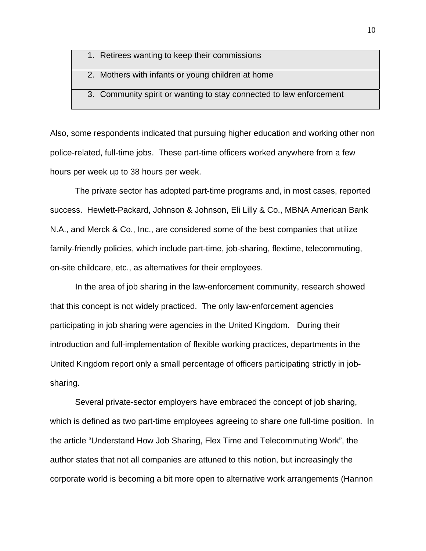- 1. Retirees wanting to keep their commissions
- 2. Mothers with infants or young children at home
- 3. Community spirit or wanting to stay connected to law enforcement

Also, some respondents indicated that pursuing higher education and working other non police-related, full-time jobs. These part-time officers worked anywhere from a few hours per week up to 38 hours per week.

 The private sector has adopted part-time programs and, in most cases, reported success. Hewlett-Packard, Johnson & Johnson, Eli Lilly & Co., MBNA American Bank N.A., and Merck & Co., Inc., are considered some of the best companies that utilize family-friendly policies, which include part-time, job-sharing, flextime, telecommuting, on-site childcare, etc., as alternatives for their employees.

 In the area of job sharing in the law-enforcement community, research showed that this concept is not widely practiced. The only law-enforcement agencies participating in job sharing were agencies in the United Kingdom. During their introduction and full-implementation of flexible working practices, departments in the United Kingdom report only a small percentage of officers participating strictly in jobsharing.

Several private-sector employers have embraced the concept of job sharing, which is defined as two part-time employees agreeing to share one full-time position. In the article "Understand How Job Sharing, Flex Time and Telecommuting Work", the author states that not all companies are attuned to this notion, but increasingly the corporate world is becoming a bit more open to alternative work arrangements (Hannon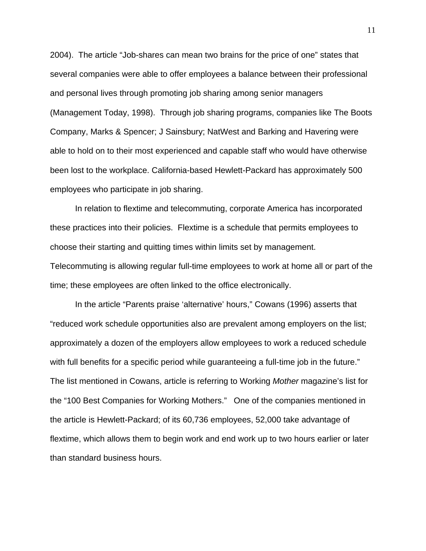2004). The article "Job-shares can mean two brains for the price of one" states that several companies were able to offer employees a balance between their professional and personal lives through promoting job sharing among senior managers (Management Today, 1998). Through job sharing programs, companies like The Boots Company, Marks & Spencer; J Sainsbury; NatWest and Barking and Havering were able to hold on to their most experienced and capable staff who would have otherwise been lost to the workplace. California-based Hewlett-Packard has approximately 500 employees who participate in job sharing.

 In relation to flextime and telecommuting, corporate America has incorporated these practices into their policies. Flextime is a schedule that permits employees to choose their starting and quitting times within limits set by management. Telecommuting is allowing regular full-time employees to work at home all or part of the

time; these employees are often linked to the office electronically.

In the article "Parents praise 'alternative' hours," Cowans (1996) asserts that "reduced work schedule opportunities also are prevalent among employers on the list; approximately a dozen of the employers allow employees to work a reduced schedule with full benefits for a specific period while guaranteeing a full-time job in the future." The list mentioned in Cowans, article is referring to Working *Mother* magazine's list for the "100 Best Companies for Working Mothers." One of the companies mentioned in the article is Hewlett-Packard; of its 60,736 employees, 52,000 take advantage of flextime, which allows them to begin work and end work up to two hours earlier or later than standard business hours.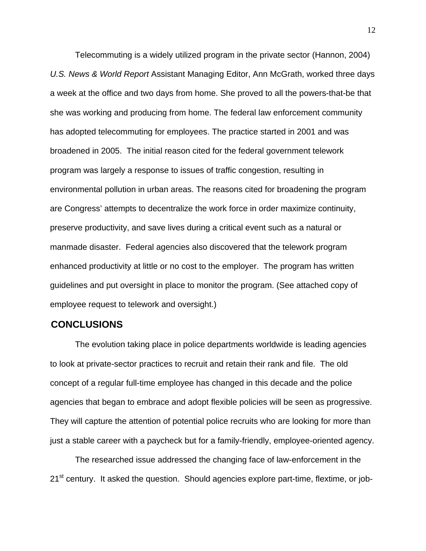Telecommuting is a widely utilized program in the private sector (Hannon, 2004) *U.S. News & World Report* Assistant Managing Editor, Ann McGrath, worked three days a week at the office and two days from home. She proved to all the powers-that-be that she was working and producing from home. The federal law enforcement community has adopted telecommuting for employees. The practice started in 2001 and was broadened in 2005. The initial reason cited for the federal government telework program was largely a response to issues of traffic congestion, resulting in environmental pollution in urban areas. The reasons cited for broadening the program are Congress' attempts to decentralize the work force in order maximize continuity, preserve productivity, and save lives during a critical event such as a natural or manmade disaster. Federal agencies also discovered that the telework program enhanced productivity at little or no cost to the employer. The program has written guidelines and put oversight in place to monitor the program. (See attached copy of employee request to telework and oversight.)

# 4B**CONCLUSIONS**

 The evolution taking place in police departments worldwide is leading agencies to look at private-sector practices to recruit and retain their rank and file. The old concept of a regular full-time employee has changed in this decade and the police agencies that began to embrace and adopt flexible policies will be seen as progressive. They will capture the attention of potential police recruits who are looking for more than just a stable career with a paycheck but for a family-friendly, employee-oriented agency.

The researched issue addressed the changing face of law-enforcement in the 21<sup>st</sup> century. It asked the question. Should agencies explore part-time, flextime, or job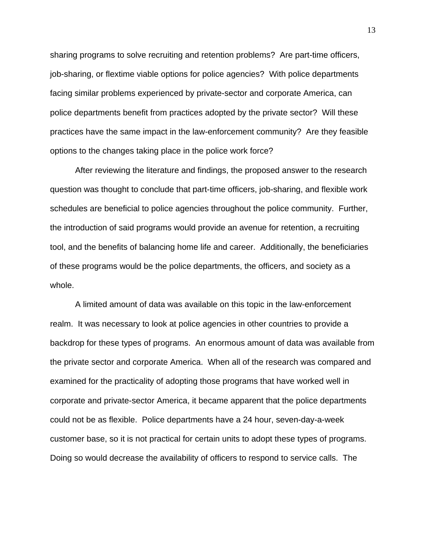sharing programs to solve recruiting and retention problems? Are part-time officers, job-sharing, or flextime viable options for police agencies? With police departments facing similar problems experienced by private-sector and corporate America, can police departments benefit from practices adopted by the private sector? Will these practices have the same impact in the law-enforcement community? Are they feasible options to the changes taking place in the police work force?

After reviewing the literature and findings, the proposed answer to the research question was thought to conclude that part-time officers, job-sharing, and flexible work schedules are beneficial to police agencies throughout the police community. Further, the introduction of said programs would provide an avenue for retention, a recruiting tool, and the benefits of balancing home life and career. Additionally, the beneficiaries of these programs would be the police departments, the officers, and society as a whole.

A limited amount of data was available on this topic in the law-enforcement realm. It was necessary to look at police agencies in other countries to provide a backdrop for these types of programs. An enormous amount of data was available from the private sector and corporate America. When all of the research was compared and examined for the practicality of adopting those programs that have worked well in corporate and private-sector America, it became apparent that the police departments could not be as flexible. Police departments have a 24 hour, seven-day-a-week customer base, so it is not practical for certain units to adopt these types of programs. Doing so would decrease the availability of officers to respond to service calls. The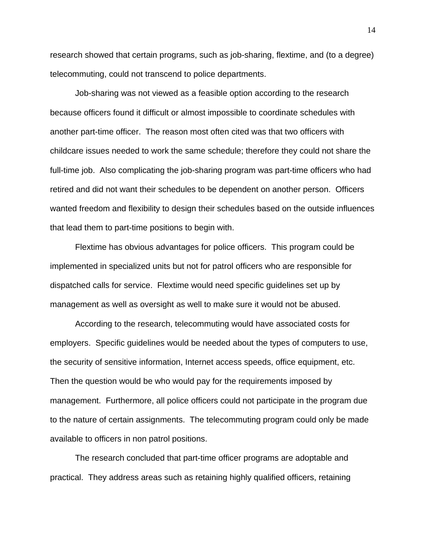research showed that certain programs, such as job-sharing, flextime, and (to a degree) telecommuting, could not transcend to police departments.

Job-sharing was not viewed as a feasible option according to the research because officers found it difficult or almost impossible to coordinate schedules with another part-time officer. The reason most often cited was that two officers with childcare issues needed to work the same schedule; therefore they could not share the full-time job. Also complicating the job-sharing program was part-time officers who had retired and did not want their schedules to be dependent on another person. Officers wanted freedom and flexibility to design their schedules based on the outside influences that lead them to part-time positions to begin with.

Flextime has obvious advantages for police officers. This program could be implemented in specialized units but not for patrol officers who are responsible for dispatched calls for service. Flextime would need specific guidelines set up by management as well as oversight as well to make sure it would not be abused.

According to the research, telecommuting would have associated costs for employers. Specific guidelines would be needed about the types of computers to use, the security of sensitive information, Internet access speeds, office equipment, etc. Then the question would be who would pay for the requirements imposed by management. Furthermore, all police officers could not participate in the program due to the nature of certain assignments. The telecommuting program could only be made available to officers in non patrol positions.

The research concluded that part-time officer programs are adoptable and practical. They address areas such as retaining highly qualified officers, retaining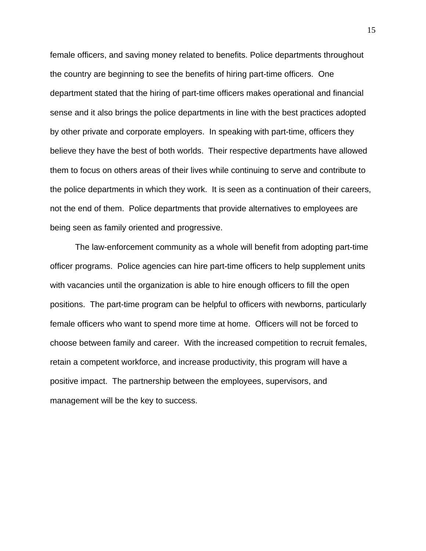female officers, and saving money related to benefits. Police departments throughout the country are beginning to see the benefits of hiring part-time officers. One department stated that the hiring of part-time officers makes operational and financial sense and it also brings the police departments in line with the best practices adopted by other private and corporate employers. In speaking with part-time, officers they believe they have the best of both worlds. Their respective departments have allowed them to focus on others areas of their lives while continuing to serve and contribute to the police departments in which they work. It is seen as a continuation of their careers, not the end of them. Police departments that provide alternatives to employees are being seen as family oriented and progressive.

The law-enforcement community as a whole will benefit from adopting part-time officer programs. Police agencies can hire part-time officers to help supplement units with vacancies until the organization is able to hire enough officers to fill the open positions. The part-time program can be helpful to officers with newborns, particularly female officers who want to spend more time at home. Officers will not be forced to choose between family and career. With the increased competition to recruit females, retain a competent workforce, and increase productivity, this program will have a positive impact. The partnership between the employees, supervisors, and management will be the key to success.